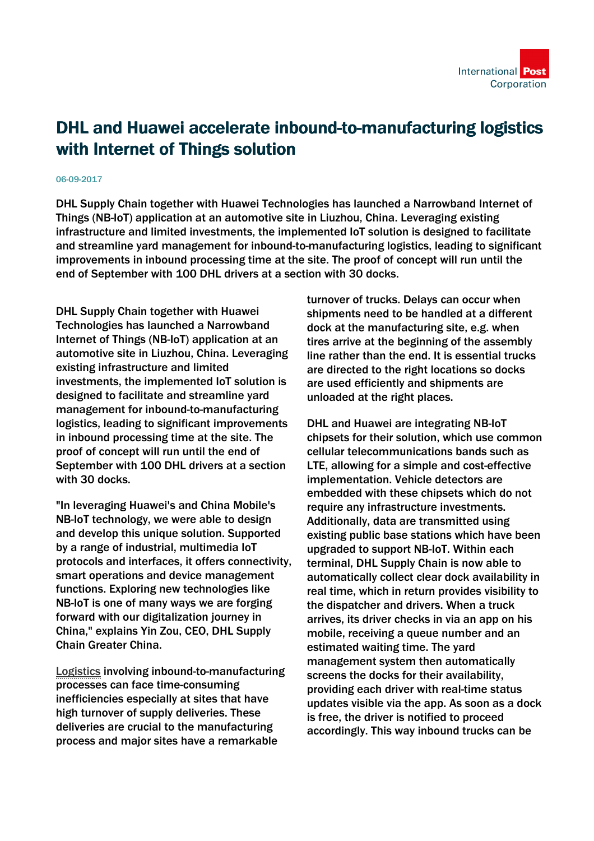## DHL and Huawei accelerate inbound-to-manufacturing logistics with Internet of Things solution

## 06-09-2017

DHL Supply Chain together with Huawei Technologies has launched a Narrowband Internet of Things (NB-IoT) application at an automotive site in Liuzhou, China. Leveraging existing infrastructure and limited investments, the implemented IoT solution is designed to facilitate and streamline yard management for inbound-to-manufacturing logistics, leading to significant improvements in inbound processing time at the site. The proof of concept will run until the end of September with 100 DHL drivers at a section with 30 docks.

DHL Supply Chain together with Huawei Technologies has launched a Narrowband Internet of Things (NB-IoT) application at an automotive site in Liuzhou, China. Leveraging existing infrastructure and limited investments, the implemented IoT solution is designed to facilitate and streamline yard management for inbound-to-manufacturing logistics, leading to significant improvements in inbound processing time at the site. The proof of concept will run until the end of September with 100 DHL drivers at a section with 30 docks.

"In leveraging Huawei's and China Mobile's NB-IoT technology, we were able to design and develop this unique solution. Supported by a range of industrial, multimedia IoT protocols and interfaces, it offers connectivity, smart operations and device management functions. Exploring new technologies like NB-IoT is one of many ways we are forging forward with our digitalization journey in China," explains Yin Zou, CEO, DHL Supply Chain Greater China.

[Logistics i](http://www.dpdhl.com/en/logistics_around_us/glossary.html#glossary-logistics)nvolving inbound-to-manufacturing processes can face time-consuming inefficiencies especially at sites that have high turnover of supply deliveries. These deliveries are crucial to the manufacturing process and major sites have a remarkable

turnover of trucks. Delays can occur when shipments need to be handled at a different dock at the manufacturing site, e.g. when tires arrive at the beginning of the assembly line rather than the end. It is essential trucks are directed to the right locations so docks are used efficiently and shipments are unloaded at the right places.

DHL and Huawei are integrating NB-IoT chipsets for their solution, which use common cellular telecommunications bands such as LTE, allowing for a simple and cost-effective implementation. Vehicle detectors are embedded with these chipsets which do not require any infrastructure investments. Additionally, data are transmitted using existing public base stations which have been upgraded to support NB-IoT. Within each terminal, DHL Supply Chain is now able to automatically collect clear dock availability in real time, which in return provides visibility to the dispatcher and drivers. When a truck arrives, its driver checks in via an app on his mobile, receiving a queue number and an estimated waiting time. The yard management system then automatically screens the docks for their availability, providing each driver with real-time status updates visible via the app. As soon as a dock is free, the driver is notified to proceed accordingly. This way inbound trucks can be